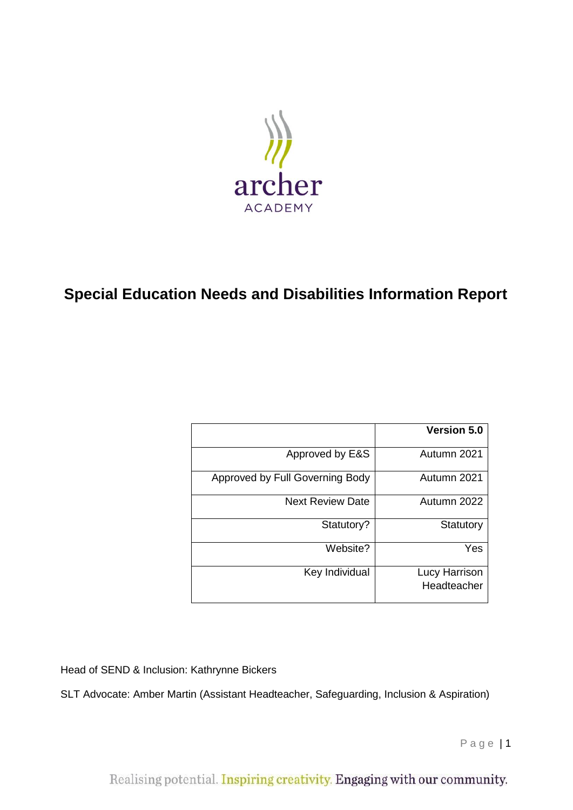

# **Special Education Needs and Disabilities Information Report**

|                                 | <b>Version 5.0</b>           |
|---------------------------------|------------------------------|
| Approved by E&S                 | Autumn 2021                  |
| Approved by Full Governing Body | Autumn 2021                  |
| <b>Next Review Date</b>         | Autumn 2022                  |
| Statutory?                      | Statutory                    |
| Website?                        | Yes                          |
| Key Individual                  | Lucy Harrison<br>Headteacher |

Head of SEND & Inclusion: Kathrynne Bickers

SLT Advocate: Amber Martin (Assistant Headteacher, Safeguarding, Inclusion & Aspiration)

P a g e | 1

Realising potential. Inspiring creativity. Engaging with our community.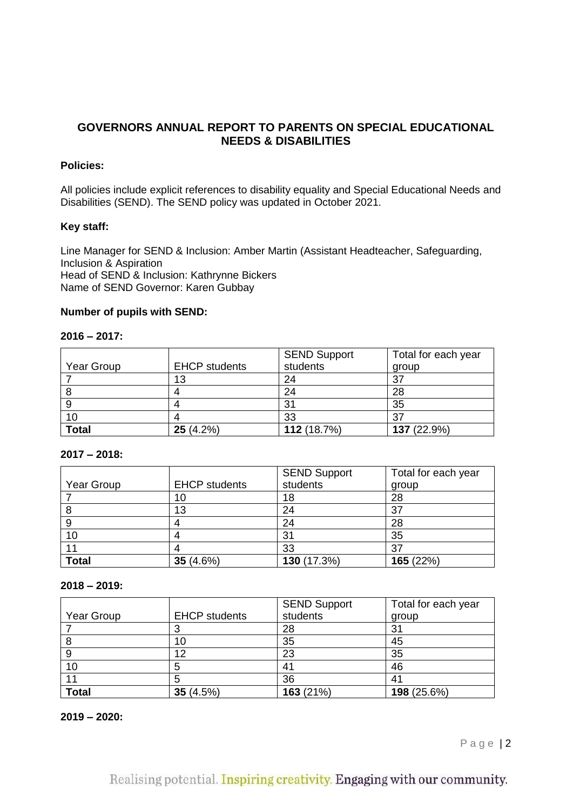## **GOVERNORS ANNUAL REPORT TO PARENTS ON SPECIAL EDUCATIONAL NEEDS & DISABILITIES**

## **Policies:**

All policies include explicit references to disability equality and Special Educational Needs and Disabilities (SEND). The SEND policy was updated in October 2021.

## **Key staff:**

Line Manager for SEND & Inclusion: Amber Martin (Assistant Headteacher, Safeguarding, Inclusion & Aspiration Head of SEND & Inclusion: Kathrynne Bickers Name of SEND Governor: Karen Gubbay

#### **Number of pupils with SEND:**

#### **2016 – 2017:**

|              |                      | <b>SEND Support</b> | Total for each year |
|--------------|----------------------|---------------------|---------------------|
| Year Group   | <b>EHCP</b> students | students            | group               |
|              | 13                   | 24                  | 37                  |
|              |                      | 24                  | 28                  |
|              |                      | 31                  | 35                  |
| 10           |                      | 33                  | 37                  |
| <b>Total</b> | 25(4.2%)             | 112 (18.7%)         | 137 (22.9%)         |

## **2017 – 2018:**

|              |                      | SEND Support | Total for each year |
|--------------|----------------------|--------------|---------------------|
| Year Group   | <b>EHCP students</b> | students     | group               |
|              | 10                   | 18           | 28                  |
|              | 13                   | 24           | 37                  |
| 9            |                      | 24           | 28                  |
| 10           |                      | 31           | 35                  |
|              |                      | 33           | 37                  |
| <b>Total</b> | 35 $(4.6%)$          | 130 (17.3%)  | 165 (22%)           |

#### **2018 – 2019:**

|              |                      | <b>SEND Support</b> | Total for each year |
|--------------|----------------------|---------------------|---------------------|
| Year Group   | <b>EHCP</b> students | students            | group               |
|              |                      | 28                  | 31                  |
| 8            | 10                   | 35                  | 45                  |
| 9            | 12                   | 23                  | 35                  |
| 10           |                      |                     | 46                  |
|              |                      | 36                  | 41                  |
| <b>Total</b> | 35 $(4.5%)$          | 163 (21%)           | 198 (25.6%)         |

#### **2019 – 2020:**

Page | 2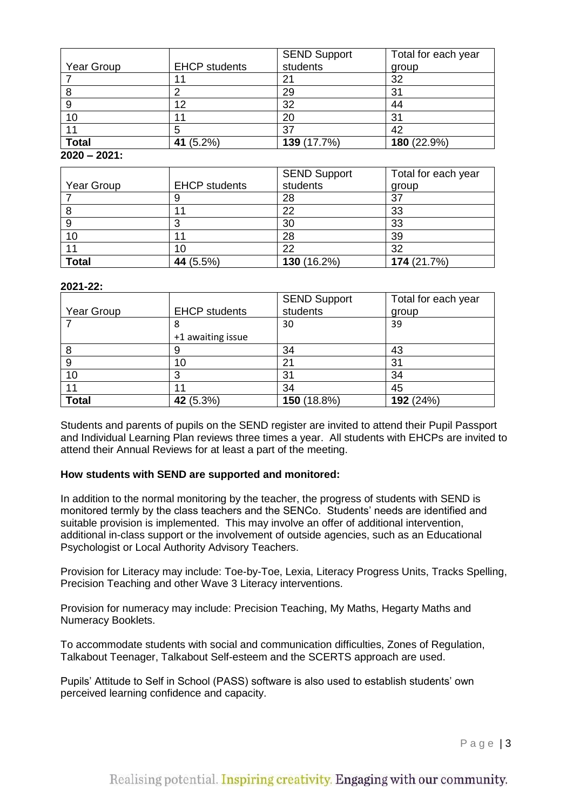|              |                      | <b>SEND Support</b> | Total for each year |
|--------------|----------------------|---------------------|---------------------|
| Year Group   | <b>EHCP</b> students | students            | group               |
|              |                      | 21                  | 32                  |
|              |                      | 29                  | 31                  |
| 9            | 12                   | 32                  | 44                  |
| 10           |                      | 20                  | 31                  |
|              |                      | 37                  | 42                  |
| <b>Total</b> | 41 (5.2%)            | 139 (17.7%)         | 180 (22.9%)         |
| ----<br>---- |                      |                     |                     |

**2020 – 2021:**

|              |                      | <b>SEND Support</b> | Total for each year |
|--------------|----------------------|---------------------|---------------------|
| Year Group   | <b>EHCP students</b> | students            | group               |
|              |                      | 28                  | 37                  |
| 8            |                      | 22                  | 33                  |
| 9            |                      | 30                  | 33                  |
| 10           |                      | 28                  | 39                  |
|              | 10                   | 22                  | 32                  |
| <b>Total</b> | 44 (5.5%)            | 130 (16.2%)         | 174 (21.7%)         |

## **2021-22:**

|              |                      | <b>SEND Support</b> | Total for each year |
|--------------|----------------------|---------------------|---------------------|
| Year Group   | <b>EHCP students</b> | students            | group               |
|              | 8                    | 30                  | 39                  |
|              | +1 awaiting issue    |                     |                     |
| 8            | 9                    | 34                  | 43                  |
| 9            | 10                   | 21                  | 31                  |
| 10           | 3                    | 31                  | 34                  |
|              | 44                   | 34                  | 45                  |
| <b>Total</b> | 42 (5.3%)            | 150 (18.8%)         | 192 (24%)           |

Students and parents of pupils on the SEND register are invited to attend their Pupil Passport and Individual Learning Plan reviews three times a year. All students with EHCPs are invited to attend their Annual Reviews for at least a part of the meeting.

## **How students with SEND are supported and monitored:**

In addition to the normal monitoring by the teacher, the progress of students with SEND is monitored termly by the class teachers and the SENCo. Students' needs are identified and suitable provision is implemented. This may involve an offer of additional intervention, additional in-class support or the involvement of outside agencies, such as an Educational Psychologist or Local Authority Advisory Teachers.

Provision for Literacy may include: Toe-by-Toe, Lexia, Literacy Progress Units, Tracks Spelling, Precision Teaching and other Wave 3 Literacy interventions.

Provision for numeracy may include: Precision Teaching, My Maths, Hegarty Maths and Numeracy Booklets.

To accommodate students with social and communication difficulties, Zones of Regulation, Talkabout Teenager, Talkabout Self-esteem and the SCERTS approach are used.

Pupils' Attitude to Self in School (PASS) software is also used to establish students' own perceived learning confidence and capacity.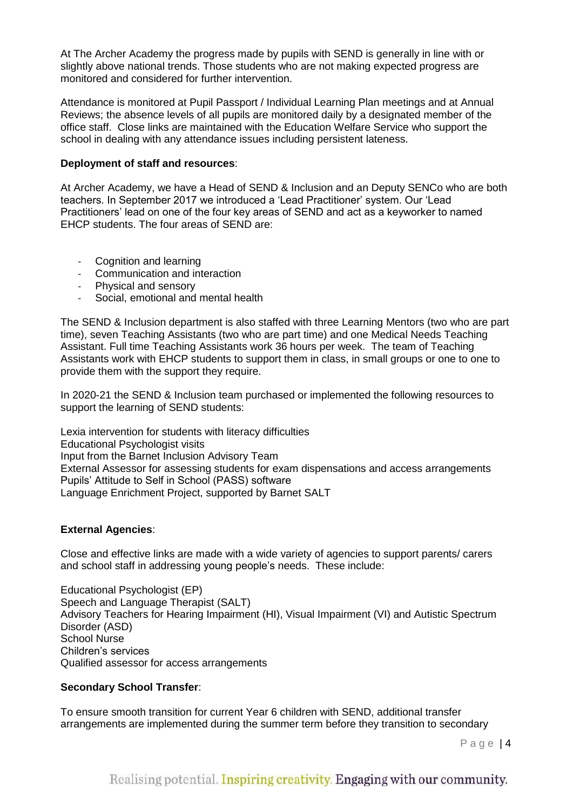At The Archer Academy the progress made by pupils with SEND is generally in line with or slightly above national trends. Those students who are not making expected progress are monitored and considered for further intervention.

Attendance is monitored at Pupil Passport / Individual Learning Plan meetings and at Annual Reviews; the absence levels of all pupils are monitored daily by a designated member of the office staff. Close links are maintained with the Education Welfare Service who support the school in dealing with any attendance issues including persistent lateness.

## **Deployment of staff and resources**:

At Archer Academy, we have a Head of SEND & Inclusion and an Deputy SENCo who are both teachers. In September 2017 we introduced a 'Lead Practitioner' system. Our 'Lead Practitioners' lead on one of the four key areas of SEND and act as a keyworker to named EHCP students. The four areas of SEND are:

- Cognition and learning
- Communication and interaction
- Physical and sensory
- Social, emotional and mental health

The SEND & Inclusion department is also staffed with three Learning Mentors (two who are part time), seven Teaching Assistants (two who are part time) and one Medical Needs Teaching Assistant. Full time Teaching Assistants work 36 hours per week. The team of Teaching Assistants work with EHCP students to support them in class, in small groups or one to one to provide them with the support they require.

In 2020-21 the SEND & Inclusion team purchased or implemented the following resources to support the learning of SEND students:

Lexia intervention for students with literacy difficulties Educational Psychologist visits Input from the Barnet Inclusion Advisory Team External Assessor for assessing students for exam dispensations and access arrangements Pupils' Attitude to Self in School (PASS) software Language Enrichment Project, supported by Barnet SALT

#### **External Agencies**:

Close and effective links are made with a wide variety of agencies to support parents/ carers and school staff in addressing young people's needs. These include:

Educational Psychologist (EP) Speech and Language Therapist (SALT) Advisory Teachers for Hearing Impairment (HI), Visual Impairment (VI) and Autistic Spectrum Disorder (ASD) School Nurse Children's services Qualified assessor for access arrangements

#### **Secondary School Transfer**:

To ensure smooth transition for current Year 6 children with SEND, additional transfer arrangements are implemented during the summer term before they transition to secondary

Page | 4